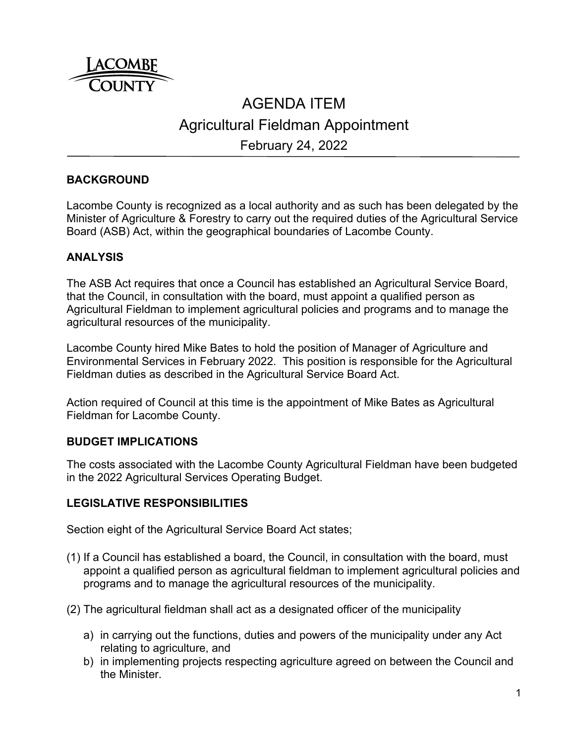

# AGENDA ITEM Agricultural Fieldman Appointment February 24, 2022

# **BACKGROUND**

Lacombe County is recognized as a local authority and as such has been delegated by the Minister of Agriculture & Forestry to carry out the required duties of the Agricultural Service Board (ASB) Act, within the geographical boundaries of Lacombe County.

### **ANALYSIS**

The ASB Act requires that once a Council has established an Agricultural Service Board, that the Council, in consultation with the board, must appoint a qualified person as Agricultural Fieldman to implement agricultural policies and programs and to manage the agricultural resources of the municipality.

Lacombe County hired Mike Bates to hold the position of Manager of Agriculture and Environmental Services in February 2022. This position is responsible for the Agricultural Fieldman duties as described in the Agricultural Service Board Act.

Action required of Council at this time is the appointment of Mike Bates as Agricultural Fieldman for Lacombe County.

#### **BUDGET IMPLICATIONS**

The costs associated with the Lacombe County Agricultural Fieldman have been budgeted in the 2022 Agricultural Services Operating Budget.

#### **LEGISLATIVE RESPONSIBILITIES**

Section eight of the Agricultural Service Board Act states;

- (1) If a Council has established a board, the Council, in consultation with the board, must appoint a qualified person as agricultural fieldman to implement agricultural policies and programs and to manage the agricultural resources of the municipality.
- (2) The agricultural fieldman shall act as a designated officer of the municipality
	- a) in carrying out the functions, duties and powers of the municipality under any Act relating to agriculture, and
	- b) in implementing projects respecting agriculture agreed on between the Council and the Minister.